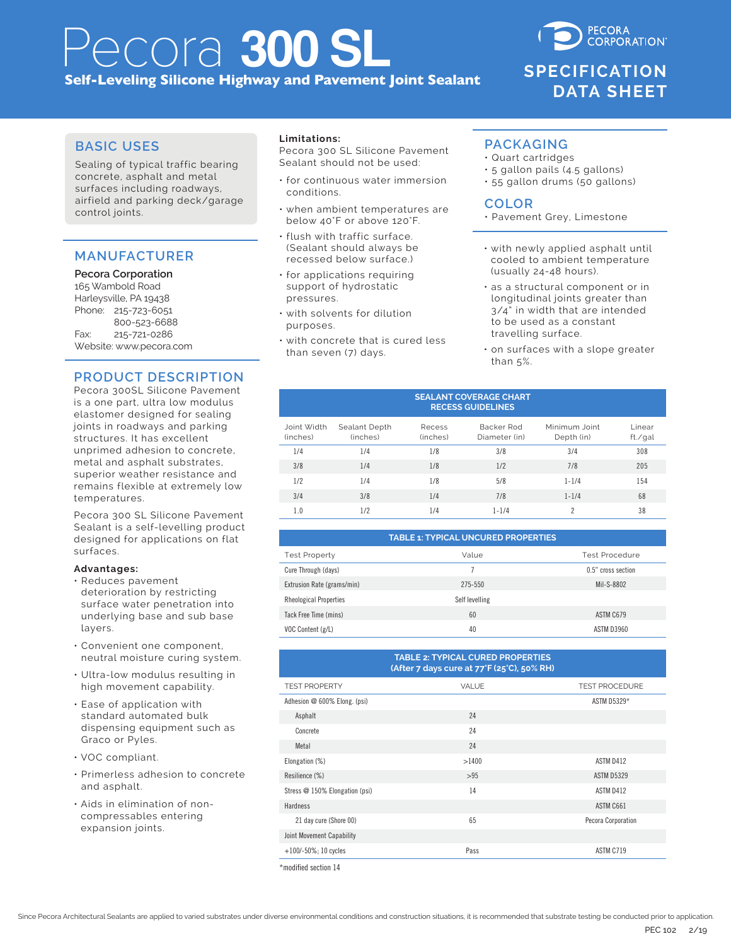# Pecora **300 SL Self-Leveling Silicone Highway and Pavement Joint Sealant**

**CORPORATION SPECIFICATION DATA SHEET**

**PECORA** 

# **BASIC USES**

Sealing of typical traffic bearing concrete, asphalt and metal surfaces including roadways, airfield and parking deck/garage control joints.

# **MANUFACTURER**

#### **Pecora Corporation**

165 Wambold Road Harleysville, PA 19438 Phone: 215-723-6051 800-523-6688 Fax: 215-721-0286 Website: www.pecora.com

# **PRODUCT DESCRIPTION**

Pecora 300SL Silicone Pavement is a one part, ultra low modulus elastomer designed for sealing joints in roadways and parking structures. It has excellent unprimed adhesion to concrete, metal and asphalt substrates, superior weather resistance and remains flexible at extremely low temperatures.

Pecora 300 SL Silicone Pavement Sealant is a self-levelling product designed for applications on flat surfaces.

#### **Advantages:**

- Reduces pavement deterioration by restricting surface water penetration into underlying base and sub base layers.
- Convenient one component, neutral moisture curing system.
- Ultra-low modulus resulting in high movement capability.
- Ease of application with standard automated bulk dispensing equipment such as Graco or Pyles.
- VOC compliant.
- Primerless adhesion to concrete and asphalt.
- Aids in elimination of noncompressables entering expansion joints.

#### **Limitations:**

Pecora 300 SL Silicone Pavement Sealant should not be used:

- for continuous water immersion conditions.
- when ambient temperatures are below 40°F or above 120°F.
- flush with traffic surface. (Sealant should always be recessed below surface.)
- for applications requiring support of hydrostatic pressures.
- with solvents for dilution purposes.
- with concrete that is cured less than seven (7) days.

### **PACKAGING**

- Quart cartridges
- 5 gallon pails (4.5 gallons)
- 55 gallon drums (50 gallons)

## **COLOR**

- Pavement Grey, Limestone
- with newly applied asphalt until cooled to ambient temperature (usually 24-48 hours).
- as a structural component or in longitudinal joints greater than 3/4" in width that are intended to be used as a constant travelling surface.
- on surfaces with a slope greater than 5%.

#### **SEALANT COVERAGE CHART RECESS GUIDELINES**

| Joint Width<br>(inches) | Sealant Depth<br>(inches) | Recess<br>(inches) | Backer Rod<br>Diameter (in) | Minimum Joint<br>Depth (in) | l inear<br>ft./gal |
|-------------------------|---------------------------|--------------------|-----------------------------|-----------------------------|--------------------|
| 1/4                     | 1/4                       | 1/8                | 3/8                         | 3/4                         | 308                |
| 3/8                     | 1/4                       | 1/8                | 1/2                         | 7/8                         | 205                |
| 1/2                     | 1/4                       | 1/8                | 5/8                         | $1 - 1/4$                   | 154                |
| 3/4                     | 3/8                       | 1/4                | 7/8                         | $1 - 1/4$                   | 68                 |
| 1.0                     | 1/2                       | 1/4                | $1 - 1/4$                   | c                           | 38                 |

#### **TABLE 1: TYPICAL UNCURED PROPERTIES**

| <b>Test Property</b>          | Value          | Test Procedure     |  |
|-------------------------------|----------------|--------------------|--|
| Cure Through (days)           |                | 0.5" cross section |  |
| Extrusion Rate (grams/min)    | 275-550        | Mil-S-8802         |  |
| <b>Rheological Properties</b> | Self levelling |                    |  |
| Tack Free Time (mins)         | 60             | ASTM C679          |  |
| VOC Content (g/L)             | 40             | <b>ASTM D3960</b>  |  |

| <b>TABLE 2: TYPICAL CURED PROPERTIES</b><br>(After 7 days cure at 77°F (25°C), 50% RH) |              |                       |  |  |  |  |
|----------------------------------------------------------------------------------------|--------------|-----------------------|--|--|--|--|
| <b>TEST PROPERTY</b>                                                                   | <b>VALUE</b> | <b>TEST PROCEDURE</b> |  |  |  |  |
| Adhesion @ 600% Elong. (psi)                                                           |              | ASTM D5329*           |  |  |  |  |
| Asphalt                                                                                | 24           |                       |  |  |  |  |
| Concrete                                                                               | 24           |                       |  |  |  |  |
| Metal                                                                                  | 24           |                       |  |  |  |  |
| Elongation (%)                                                                         | >1400        | ASTM D412             |  |  |  |  |
| Resilience (%)                                                                         | >95          | <b>ASTM D5329</b>     |  |  |  |  |
| Stress @ 150% Elongation (psi)                                                         | 14           | ASTM D412             |  |  |  |  |
| Hardness                                                                               |              | ASTM C661             |  |  |  |  |
| 21 day cure (Shore 00)                                                                 | 65           | Pecora Corporation    |  |  |  |  |
| Joint Movement Capability                                                              |              |                       |  |  |  |  |
| $+100/-50\%$ ; 10 cycles                                                               | Pass         | ASTM C719             |  |  |  |  |

\*modified section 14